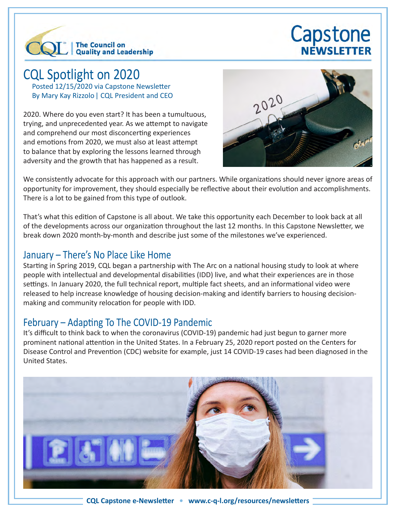

# Capstone NEWSLETTER

# CQL Spotlight on 2020

Posted 12/15/2020 via Capstone Newsletter By Mary Kay Rizzolo| CQL President and CEO

2020. Where do you even start? It has been a tumultuous, trying, and unprecedented year. As we attempt to navigate and comprehend our most disconcerting experiences and emotions from 2020, we must also at least attempt to balance that by exploring the lessons learned through adversity and the growth that has happened as a result.



We consistently advocate for this approach with our partners. While organizations should never ignore areas of opportunity for improvement, they should especially be reflective about their evolution and accomplishments. There is a lot to be gained from this type of outlook.

That's what this edition of Capstone is all about. We take this opportunity each December to look back at all of the developments across our organization throughout the last 12 months. In this Capstone Newsletter, we break down 2020 month-by-month and describe just some of the milestones we've experienced.

#### January – There's No Place Like Home

Starting in Spring 2019, CQL began a partnership with The Arc on a national housing study to look at where people with intellectual and developmental disabilities (IDD) live, and what their experiences are in those settings. In January 2020, the full technical report, multiple fact sheets, and an informational video were released to help increase knowledge of housing decision-making and identify barriers to housing decisionmaking and community relocation for people with IDD.

#### February – Adapting To The COVID-19 Pandemic

It's difficult to think back to when the coronavirus (COVID-19) pandemic had just begun to garner more prominent national attention in the United States. In a February 25, 2020 report posted on the Centers for Disease Control and Prevention (CDC) website for example, just 14 COVID-19 cases had been diagnosed in the United States.

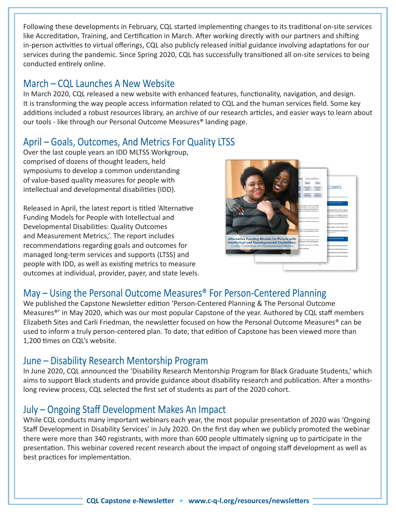Following these developments in February, CQL started implementing changes to its traditional on-site services like Accreditation, Training, and Certification in March. After working directly with our partners and shifting in-person activities to virtual offerings, CQL also publicly released initial guidance involving adaptations for our services during the pandemic. Since Spring 2020, CQL has successfully transitioned all on-site services to being conducted entirely online.

#### March – CQL Launches A New Website

In March 2020, CQL released a new website with enhanced features, functionality, navigation, and design. It is transforming the way people access information related to CQL and the human services field. Some key additions included a robust resources library, an archive of our research articles, and easier ways to learn about our tools - like through our Personal Outcome Measures® landing page.

### April – Goals, Outcomes, And Metrics For Quality LTSS

Over the last couple years an IDD MLTSS Workgroup, comprised of dozens of thought leaders, held symposiums to develop a common understanding of value-based quality measures for people with intellectual and developmental disabilities (IDD).

Released in April, the latest report is titled 'Alternative Funding Models for People with Intellectual and Developmental Disabilities: Quality Outcomes and Measurement Metrics,'. The report includes recommendations regarding goals and outcomes for managed long-term services and supports (LTSS) and people with IDD, as well as existing metrics to measure outcomes at individual, provider, payer, and state levels.



## May – Using the Personal Outcome Measures® For Person-Centered Planning

We published the Capstone Newsletter edition 'Person-Centered Planning & The Personal Outcome Measures®' in May 2020, which was our most popular Capstone of the year. Authored by CQL staff members Elizabeth Sites and Carli Friedman, the newsletter focused on how the Personal Outcome Measures® can be used to inform a truly person-centered plan. To date, that edition of Capstone has been viewed more than 1,200 times on CQL's website.

#### June – Disability Research Mentorship Program

In June 2020, CQL announced the 'Disability Research Mentorship Program for Black Graduate Students,' which aims to support Black students and provide guidance about disability research and publication. After a monthslong review process, CQL selected the first set of students as part of the 2020 cohort.

#### July – Ongoing Staff Development Makes An Impact

While CQL conducts many important webinars each year, the most popular presentation of 2020 was 'Ongoing Staff Development in Disability Services' in July 2020. On the first day when we publicly promoted the webinar there were more than 340 registrants, with more than 600 people ultimately signing up to participate in the presentation. This webinar covered recent research about the impact of ongoing staff development as well as best practices for implementation.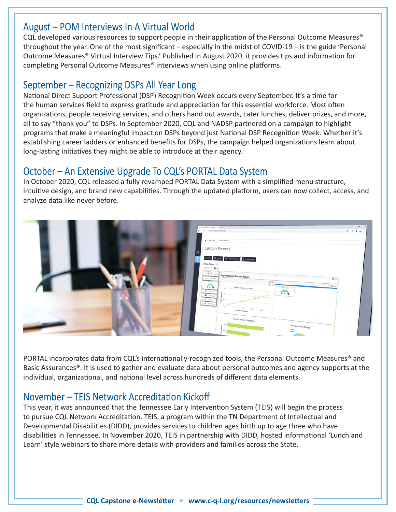#### August – POM Interviews In A Virtual World

CQL developed various resources to support people in their application of the Personal Outcome Measures® throughout the year. One of the most significant – especially in the midst of COVID-19 – is the guide 'Personal Outcome Measures® Virtual Interview Tips.' Published in August 2020, it provides tips and information for completing Personal Outcome Measures® interviews when using online platforms.

#### September – Recognizing DSPs All Year Long

National Direct Support Professional (DSP) Recognition Week occurs every September. It's a time for the human services field to express gratitude and appreciation for this essential workforce. Most often organizations, people receiving services, and others hand out awards, cater lunches, deliver prizes, and more, all to say "thank you" to DSPs. In September 2020, CQL and NADSP partnered on a campaign to highlight programs that make a meaningful impact on DSPs beyond just National DSP Recognition Week. Whether it's establishing career ladders or enhanced benefits for DSPs, the campaign helped organizations learn about long-lasting initiatives they might be able to introduce at their agency.

#### October – An Extensive Upgrade To CQL's PORTAL Data System

In October 2020, CQL released a fully revamped PORTAL Data System with a simplified menu structure, intuitive design, and brand new capabilities. Through the updated platform, users can now collect, access, and analyze data like never before.



PORTAL incorporates data from CQL's internationally-recognized tools, the Personal Outcome Measures® and Basic Assurances®. It is used to gather and evaluate data about personal outcomes and agency supports at the individual, organizational, and national level across hundreds of different data elements.

#### November – TEIS Network Accreditation Kickoff

This year, it was announced that the Tennessee Early Intervention System (TEIS) will begin the process to pursue CQL Network Accreditation. TEIS, a program within the TN Department of Intellectual and Developmental Disabilities (DIDD), provides services to children ages birth up to age three who have disabilities in Tennessee. In November 2020, TEIS in partnership with DIDD, hosted informational 'Lunch and Learn' style webinars to share more details with providers and families across the State.